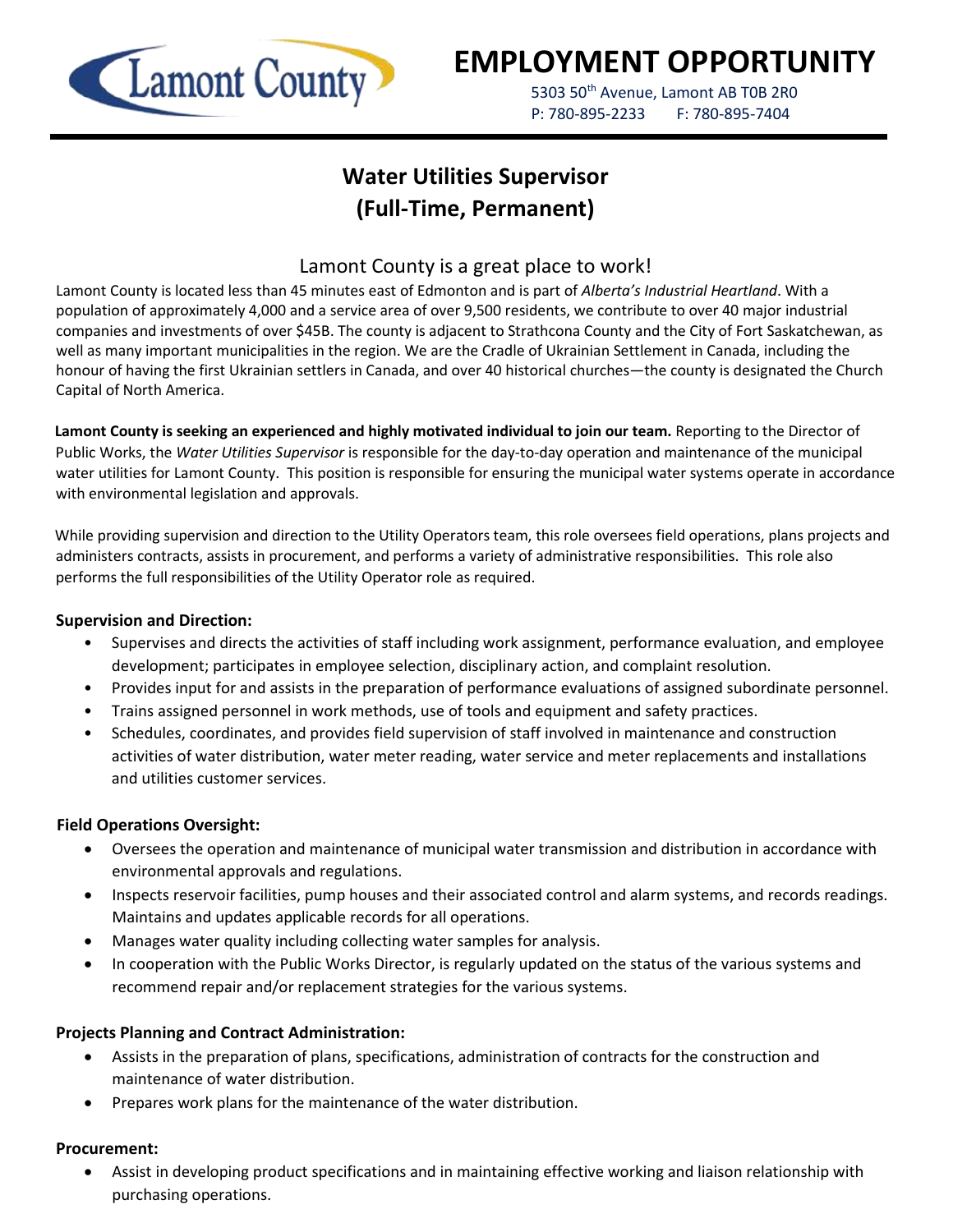

# **EMPLOYMENT OPPORTUNITY**

5303 50<sup>th</sup> Avenue, Lamont AB T0B 2R0 P: 780-895-2233 F: 780-895-7404

## **Water Utilities Supervisor (Full-Time, Permanent)**

### Lamont County is a great place to work!

Lamont County is located less than 45 minutes east of Edmonton and is part of *Alberta's Industrial Heartland*. With a population of approximately 4,000 and a service area of over 9,500 residents, we contribute to over 40 major industrial companies and investments of over \$45B. The county is adjacent to Strathcona County and the City of Fort Saskatchewan, as well as many important municipalities in the region. We are the Cradle of Ukrainian Settlement in Canada, including the honour of having the first Ukrainian settlers in Canada, and over 40 historical churches—the county is designated the Church Capital of North America.

**Lamont County is seeking an experienced and highly motivated individual to join our team.** Reporting to the Director of Public Works, the *Water Utilities Supervisor* is responsible for the day-to-day operation and maintenance of the municipal water utilities for Lamont County. This position is responsible for ensuring the municipal water systems operate in accordance with environmental legislation and approvals.

While providing supervision and direction to the Utility Operators team, this role oversees field operations, plans projects and administers contracts, assists in procurement, and performs a variety of administrative responsibilities. This role also performs the full responsibilities of the Utility Operator role as required.

#### **Supervision and Direction:**

- Supervises and directs the activities of staff including work assignment, performance evaluation, and employee development; participates in employee selection, disciplinary action, and complaint resolution.
- Provides input for and assists in the preparation of performance evaluations of assigned subordinate personnel.
- Trains assigned personnel in work methods, use of tools and equipment and safety practices.
- Schedules, coordinates, and provides field supervision of staff involved in maintenance and construction activities of water distribution, water meter reading, water service and meter replacements and installations and utilities customer services.

#### **Field Operations Oversight:**

- Oversees the operation and maintenance of municipal water transmission and distribution in accordance with environmental approvals and regulations.
- Inspects reservoir facilities, pump houses and their associated control and alarm systems, and records readings. Maintains and updates applicable records for all operations.
- Manages water quality including collecting water samples for analysis.
- In cooperation with the Public Works Director, is regularly updated on the status of the various systems and recommend repair and/or replacement strategies for the various systems.

#### **Projects Planning and Contract Administration:**

- Assists in the preparation of plans, specifications, administration of contracts for the construction and maintenance of water distribution.
- Prepares work plans for the maintenance of the water distribution.

#### **Procurement:**

• Assist in developing product specifications and in maintaining effective working and liaison relationship with purchasing operations.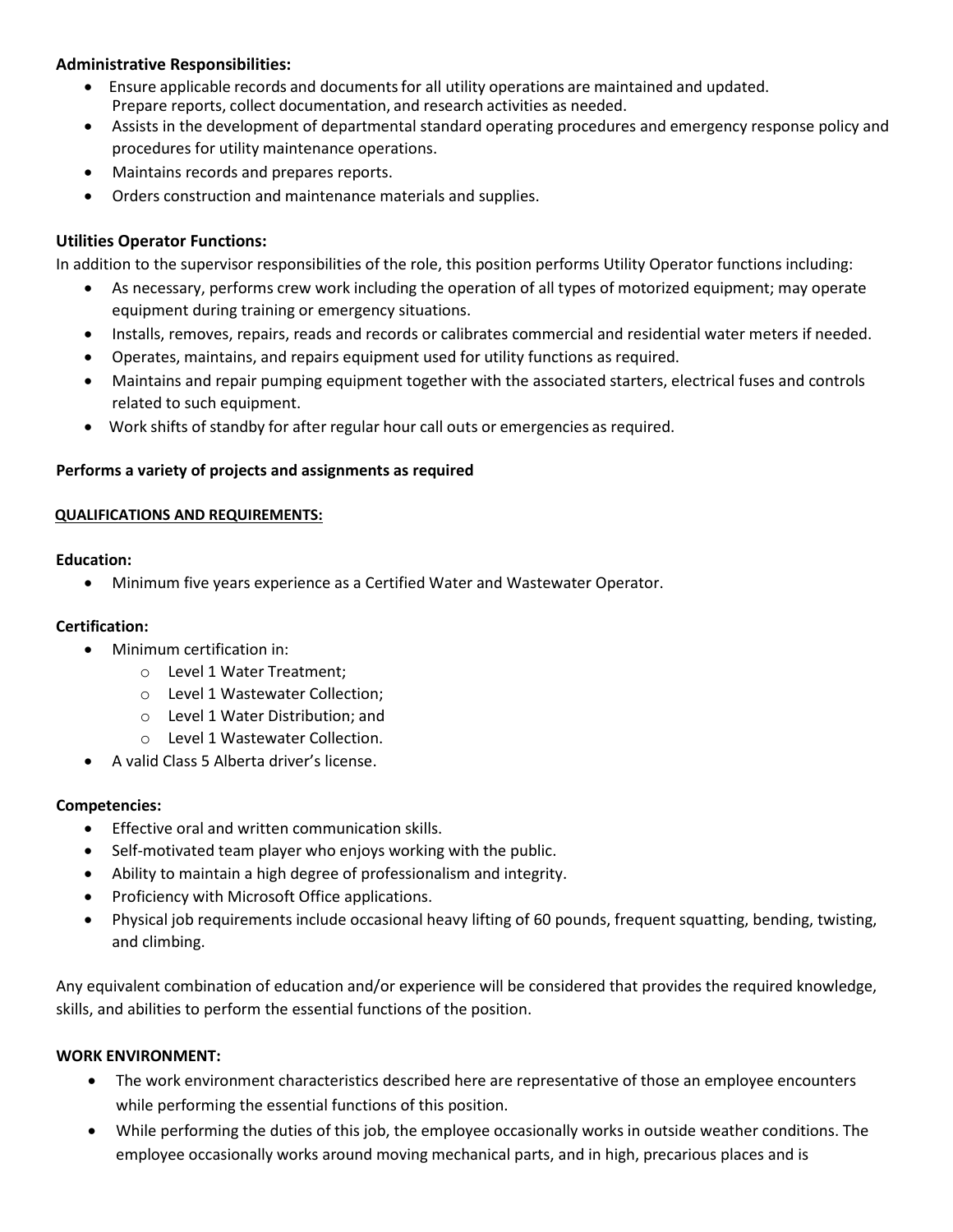#### **Administrative Responsibilities:**

- Ensure applicable records and documentsfor all utility operations are maintained and updated. Prepare reports, collect documentation, and research activities as needed.
- Assists in the development of departmental standard operating procedures and emergency response policy and procedures for utility maintenance operations.
- Maintains records and prepares reports.
- Orders construction and maintenance materials and supplies.

#### **Utilities Operator Functions:**

In addition to the supervisor responsibilities of the role, this position performs Utility Operator functions including:

- As necessary, performs crew work including the operation of all types of motorized equipment; may operate equipment during training or emergency situations.
- Installs, removes, repairs, reads and records or calibrates commercial and residential water meters if needed.
- Operates, maintains, and repairs equipment used for utility functions as required.
- Maintains and repair pumping equipment together with the associated starters, electrical fuses and controls related to such equipment.
- Work shifts of standby for after regular hour call outs or emergencies as required.

#### **Performs a variety of projects and assignments as required**

#### **QUALIFICATIONS AND REQUIREMENTS:**

#### **Education:**

• Minimum five years experience as a Certified Water and Wastewater Operator.

#### **Certification:**

- Minimum certification in:
	- o Level 1 Water Treatment;
	- o Level 1 Wastewater Collection;
	- o Level 1 Water Distribution; and
	- o Level 1 Wastewater Collection.
- A valid Class 5 Alberta driver's license.

#### **Competencies:**

- Effective oral and written communication skills.
- Self-motivated team player who enjoys working with the public.
- Ability to maintain a high degree of professionalism and integrity.
- Proficiency with Microsoft Office applications.
- Physical job requirements include occasional heavy lifting of 60 pounds, frequent squatting, bending, twisting, and climbing.

Any equivalent combination of education and/or experience will be considered that provides the required knowledge, skills, and abilities to perform the essential functions of the position.

#### **WORK ENVIRONMENT:**

- The work environment characteristics described here are representative of those an employee encounters while performing the essential functions of this position.
- While performing the duties of this job, the employee occasionally works in outside weather conditions. The employee occasionally works around moving mechanical parts, and in high, precarious places and is